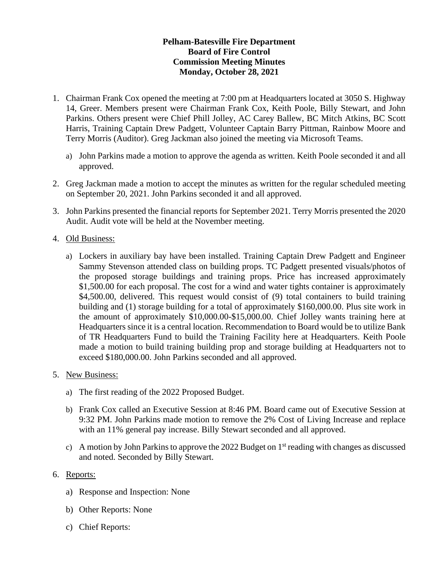## **Pelham-Batesville Fire Department Board of Fire Control Commission Meeting Minutes Monday, October 28, 2021**

- 1. Chairman Frank Cox opened the meeting at 7:00 pm at Headquarters located at 3050 S. Highway 14, Greer. Members present were Chairman Frank Cox, Keith Poole, Billy Stewart, and John Parkins. Others present were Chief Phill Jolley, AC Carey Ballew, BC Mitch Atkins, BC Scott Harris, Training Captain Drew Padgett, Volunteer Captain Barry Pittman, Rainbow Moore and Terry Morris (Auditor). Greg Jackman also joined the meeting via Microsoft Teams.
	- a) John Parkins made a motion to approve the agenda as written. Keith Poole seconded it and all approved.
- 2. Greg Jackman made a motion to accept the minutes as written for the regular scheduled meeting on September 20, 2021. John Parkins seconded it and all approved.
- 3. John Parkins presented the financial reports for September 2021. Terry Morris presented the 2020 Audit. Audit vote will be held at the November meeting.

## 4. Old Business:

a) Lockers in auxiliary bay have been installed. Training Captain Drew Padgett and Engineer Sammy Stevenson attended class on building props. TC Padgett presented visuals/photos of the proposed storage buildings and training props. Price has increased approximately \$1,500.00 for each proposal. The cost for a wind and water tights container is approximately \$4,500.00, delivered. This request would consist of (9) total containers to build training building and (1) storage building for a total of approximately \$160,000.00. Plus site work in the amount of approximately \$10,000.00-\$15,000.00. Chief Jolley wants training here at Headquarters since it is a central location. Recommendation to Board would be to utilize Bank of TR Headquarters Fund to build the Training Facility here at Headquarters. Keith Poole made a motion to build training building prop and storage building at Headquarters not to exceed \$180,000.00. John Parkins seconded and all approved.

## 5. New Business:

- a) The first reading of the 2022 Proposed Budget.
- b) Frank Cox called an Executive Session at 8:46 PM. Board came out of Executive Session at 9:32 PM. John Parkins made motion to remove the 2% Cost of Living Increase and replace with an 11% general pay increase. Billy Stewart seconded and all approved.
- c) A motion by John Parkins to approve the 2022 Budget on  $1<sup>st</sup>$  reading with changes as discussed and noted. Seconded by Billy Stewart.

## 6. Reports:

- a) Response and Inspection: None
- b) Other Reports: None
- c) Chief Reports: